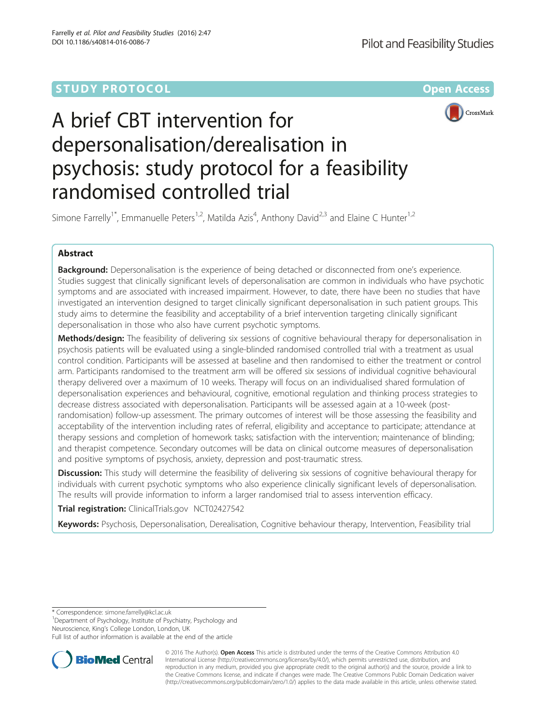# **STUDY PROTOCOL CONSUMING THE RESERVE ACCESS**





# A brief CBT intervention for depersonalisation/derealisation in psychosis: study protocol for a feasibility randomised controlled trial

Simone Farrelly<sup>1\*</sup>, Emmanuelle Peters<sup>1,2</sup>, Matilda Azis<sup>4</sup>, Anthony David<sup>2,3</sup> and Elaine C Hunter<sup>1,2</sup>

# Abstract

Background: Depersonalisation is the experience of being detached or disconnected from one's experience. Studies suggest that clinically significant levels of depersonalisation are common in individuals who have psychotic symptoms and are associated with increased impairment. However, to date, there have been no studies that have investigated an intervention designed to target clinically significant depersonalisation in such patient groups. This study aims to determine the feasibility and acceptability of a brief intervention targeting clinically significant depersonalisation in those who also have current psychotic symptoms.

Methods/design: The feasibility of delivering six sessions of cognitive behavioural therapy for depersonalisation in psychosis patients will be evaluated using a single-blinded randomised controlled trial with a treatment as usual control condition. Participants will be assessed at baseline and then randomised to either the treatment or control arm. Participants randomised to the treatment arm will be offered six sessions of individual cognitive behavioural therapy delivered over a maximum of 10 weeks. Therapy will focus on an individualised shared formulation of depersonalisation experiences and behavioural, cognitive, emotional regulation and thinking process strategies to decrease distress associated with depersonalisation. Participants will be assessed again at a 10-week (postrandomisation) follow-up assessment. The primary outcomes of interest will be those assessing the feasibility and acceptability of the intervention including rates of referral, eligibility and acceptance to participate; attendance at therapy sessions and completion of homework tasks; satisfaction with the intervention; maintenance of blinding; and therapist competence. Secondary outcomes will be data on clinical outcome measures of depersonalisation and positive symptoms of psychosis, anxiety, depression and post-traumatic stress.

**Discussion:** This study will determine the feasibility of delivering six sessions of cognitive behavioural therapy for individuals with current psychotic symptoms who also experience clinically significant levels of depersonalisation. The results will provide information to inform a larger randomised trial to assess intervention efficacy.

Trial registration: ClinicalTrials.gov [NCT02427542](https://clinicaltrials.gov/show/NCT02427542)

Keywords: Psychosis, Depersonalisation, Derealisation, Cognitive behaviour therapy, Intervention, Feasibility trial

\* Correspondence: [simone.farrelly@kcl.ac.uk](mailto:simone.farrelly@kcl.ac.uk) <sup>1</sup>

Department of Psychology, Institute of Psychiatry, Psychology and Neuroscience, King's College London, London, UK

Full list of author information is available at the end of the article



© 2016 The Author(s). Open Access This article is distributed under the terms of the Creative Commons Attribution 4.0 International License [\(http://creativecommons.org/licenses/by/4.0/](http://creativecommons.org/licenses/by/4.0/)), which permits unrestricted use, distribution, and reproduction in any medium, provided you give appropriate credit to the original author(s) and the source, provide a link to the Creative Commons license, and indicate if changes were made. The Creative Commons Public Domain Dedication waiver [\(http://creativecommons.org/publicdomain/zero/1.0/](http://creativecommons.org/publicdomain/zero/1.0/)) applies to the data made available in this article, unless otherwise stated.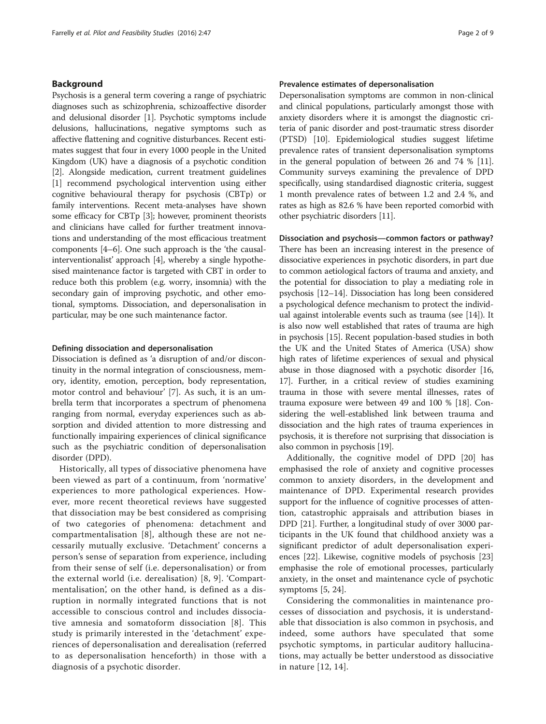# Background

Psychosis is a general term covering a range of psychiatric diagnoses such as schizophrenia, schizoaffective disorder and delusional disorder [\[1](#page-7-0)]. Psychotic symptoms include delusions, hallucinations, negative symptoms such as affective flattening and cognitive disturbances. Recent estimates suggest that four in every 1000 people in the United Kingdom (UK) have a diagnosis of a psychotic condition [[2\]](#page-7-0). Alongside medication, current treatment guidelines [[1\]](#page-7-0) recommend psychological intervention using either cognitive behavioural therapy for psychosis (CBTp) or family interventions. Recent meta-analyses have shown some efficacy for CBTp [\[3\]](#page-7-0); however, prominent theorists and clinicians have called for further treatment innovations and understanding of the most efficacious treatment components [[4](#page-7-0)–[6](#page-7-0)]. One such approach is the 'the causalinterventionalist' approach [\[4](#page-7-0)], whereby a single hypothesised maintenance factor is targeted with CBT in order to reduce both this problem (e.g. worry, insomnia) with the secondary gain of improving psychotic, and other emotional, symptoms. Dissociation, and depersonalisation in particular, may be one such maintenance factor.

# Defining dissociation and depersonalisation

Dissociation is defined as 'a disruption of and/or discontinuity in the normal integration of consciousness, memory, identity, emotion, perception, body representation, motor control and behaviour' [\[7\]](#page-7-0). As such, it is an umbrella term that incorporates a spectrum of phenomena ranging from normal, everyday experiences such as absorption and divided attention to more distressing and functionally impairing experiences of clinical significance such as the psychiatric condition of depersonalisation disorder (DPD).

Historically, all types of dissociative phenomena have been viewed as part of a continuum, from 'normative' experiences to more pathological experiences. However, more recent theoretical reviews have suggested that dissociation may be best considered as comprising of two categories of phenomena: detachment and compartmentalisation [\[8\]](#page-7-0), although these are not necessarily mutually exclusive. 'Detachment' concerns a person's sense of separation from experience, including from their sense of self (i.e. depersonalisation) or from the external world (i.e. derealisation) [\[8](#page-7-0), [9](#page-7-0)]. 'Compartmentalisation', on the other hand, is defined as a disruption in normally integrated functions that is not accessible to conscious control and includes dissociative amnesia and somatoform dissociation [\[8\]](#page-7-0). This study is primarily interested in the 'detachment' experiences of depersonalisation and derealisation (referred to as depersonalisation henceforth) in those with a diagnosis of a psychotic disorder.

# Prevalence estimates of depersonalisation

Depersonalisation symptoms are common in non-clinical and clinical populations, particularly amongst those with anxiety disorders where it is amongst the diagnostic criteria of panic disorder and post-traumatic stress disorder (PTSD) [\[10\]](#page-7-0). Epidemiological studies suggest lifetime prevalence rates of transient depersonalisation symptoms in the general population of between 26 and 74 % [[11](#page-7-0)]. Community surveys examining the prevalence of DPD specifically, using standardised diagnostic criteria, suggest 1 month prevalence rates of between 1.2 and 2.4 %, and rates as high as 82.6 % have been reported comorbid with other psychiatric disorders [\[11](#page-7-0)].

#### Dissociation and psychosis—common factors or pathway?

There has been an increasing interest in the presence of dissociative experiences in psychotic disorders, in part due to common aetiological factors of trauma and anxiety, and the potential for dissociation to play a mediating role in psychosis [[12](#page-7-0)–[14\]](#page-7-0). Dissociation has long been considered a psychological defence mechanism to protect the individual against intolerable events such as trauma (see [\[14\]](#page-7-0)). It is also now well established that rates of trauma are high in psychosis [\[15\]](#page-7-0). Recent population-based studies in both the UK and the United States of America (USA) show high rates of lifetime experiences of sexual and physical abuse in those diagnosed with a psychotic disorder [[16](#page-7-0), [17](#page-7-0)]. Further, in a critical review of studies examining trauma in those with severe mental illnesses, rates of trauma exposure were between 49 and 100 % [[18](#page-7-0)]. Considering the well-established link between trauma and dissociation and the high rates of trauma experiences in psychosis, it is therefore not surprising that dissociation is also common in psychosis [[19](#page-7-0)].

Additionally, the cognitive model of DPD [\[20\]](#page-7-0) has emphasised the role of anxiety and cognitive processes common to anxiety disorders, in the development and maintenance of DPD. Experimental research provides support for the influence of cognitive processes of attention, catastrophic appraisals and attribution biases in DPD [[21](#page-7-0)]. Further, a longitudinal study of over 3000 participants in the UK found that childhood anxiety was a significant predictor of adult depersonalisation experiences [\[22\]](#page-7-0). Likewise, cognitive models of psychosis [[23](#page-7-0)] emphasise the role of emotional processes, particularly anxiety, in the onset and maintenance cycle of psychotic symptoms [[5, 24](#page-7-0)].

Considering the commonalities in maintenance processes of dissociation and psychosis, it is understandable that dissociation is also common in psychosis, and indeed, some authors have speculated that some psychotic symptoms, in particular auditory hallucinations, may actually be better understood as dissociative in nature [\[12](#page-7-0), [14\]](#page-7-0).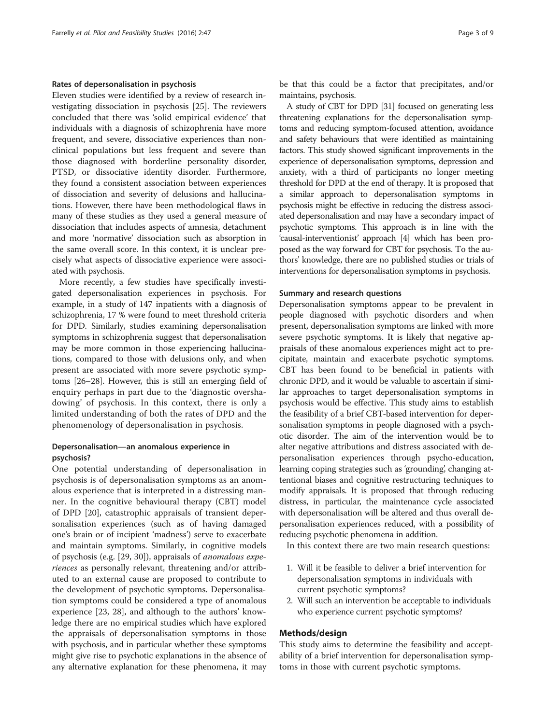# Rates of depersonalisation in psychosis

Eleven studies were identified by a review of research investigating dissociation in psychosis [\[25\]](#page-7-0). The reviewers concluded that there was 'solid empirical evidence' that individuals with a diagnosis of schizophrenia have more frequent, and severe, dissociative experiences than nonclinical populations but less frequent and severe than those diagnosed with borderline personality disorder, PTSD, or dissociative identity disorder. Furthermore, they found a consistent association between experiences of dissociation and severity of delusions and hallucinations. However, there have been methodological flaws in many of these studies as they used a general measure of dissociation that includes aspects of amnesia, detachment and more 'normative' dissociation such as absorption in the same overall score. In this context, it is unclear precisely what aspects of dissociative experience were associated with psychosis.

More recently, a few studies have specifically investigated depersonalisation experiences in psychosis. For example, in a study of 147 inpatients with a diagnosis of schizophrenia, 17 % were found to meet threshold criteria for DPD. Similarly, studies examining depersonalisation symptoms in schizophrenia suggest that depersonalisation may be more common in those experiencing hallucinations, compared to those with delusions only, and when present are associated with more severe psychotic symptoms [[26](#page-7-0)–[28\]](#page-7-0). However, this is still an emerging field of enquiry perhaps in part due to the 'diagnostic overshadowing' of psychosis. In this context, there is only a limited understanding of both the rates of DPD and the phenomenology of depersonalisation in psychosis.

# Depersonalisation—an anomalous experience in psychosis?

One potential understanding of depersonalisation in psychosis is of depersonalisation symptoms as an anomalous experience that is interpreted in a distressing manner. In the cognitive behavioural therapy (CBT) model of DPD [[20](#page-7-0)], catastrophic appraisals of transient depersonalisation experiences (such as of having damaged one's brain or of incipient 'madness') serve to exacerbate and maintain symptoms. Similarly, in cognitive models of psychosis (e.g. [[29](#page-7-0), [30](#page-7-0)]), appraisals of anomalous experiences as personally relevant, threatening and/or attributed to an external cause are proposed to contribute to the development of psychotic symptoms. Depersonalisation symptoms could be considered a type of anomalous experience [\[23](#page-7-0), [28\]](#page-7-0), and although to the authors' knowledge there are no empirical studies which have explored the appraisals of depersonalisation symptoms in those with psychosis, and in particular whether these symptoms might give rise to psychotic explanations in the absence of any alternative explanation for these phenomena, it may be that this could be a factor that precipitates, and/or maintains, psychosis.

A study of CBT for DPD [[31\]](#page-7-0) focused on generating less threatening explanations for the depersonalisation symptoms and reducing symptom-focused attention, avoidance and safety behaviours that were identified as maintaining factors. This study showed significant improvements in the experience of depersonalisation symptoms, depression and anxiety, with a third of participants no longer meeting threshold for DPD at the end of therapy. It is proposed that a similar approach to depersonalisation symptoms in psychosis might be effective in reducing the distress associated depersonalisation and may have a secondary impact of psychotic symptoms. This approach is in line with the 'causal-interventionist' approach [[4](#page-7-0)] which has been proposed as the way forward for CBT for psychosis. To the authors' knowledge, there are no published studies or trials of interventions for depersonalisation symptoms in psychosis.

#### Summary and research questions

Depersonalisation symptoms appear to be prevalent in people diagnosed with psychotic disorders and when present, depersonalisation symptoms are linked with more severe psychotic symptoms. It is likely that negative appraisals of these anomalous experiences might act to precipitate, maintain and exacerbate psychotic symptoms. CBT has been found to be beneficial in patients with chronic DPD, and it would be valuable to ascertain if similar approaches to target depersonalisation symptoms in psychosis would be effective. This study aims to establish the feasibility of a brief CBT-based intervention for depersonalisation symptoms in people diagnosed with a psychotic disorder. The aim of the intervention would be to alter negative attributions and distress associated with depersonalisation experiences through psycho-education, learning coping strategies such as 'grounding', changing attentional biases and cognitive restructuring techniques to modify appraisals. It is proposed that through reducing distress, in particular, the maintenance cycle associated with depersonalisation will be altered and thus overall depersonalisation experiences reduced, with a possibility of reducing psychotic phenomena in addition.

In this context there are two main research questions:

- 1. Will it be feasible to deliver a brief intervention for depersonalisation symptoms in individuals with current psychotic symptoms?
- 2. Will such an intervention be acceptable to individuals who experience current psychotic symptoms?

#### Methods/design

This study aims to determine the feasibility and acceptability of a brief intervention for depersonalisation symptoms in those with current psychotic symptoms.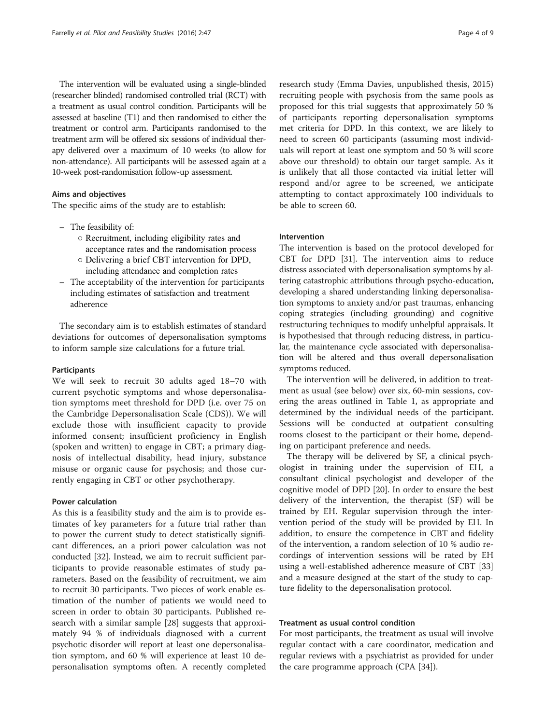The intervention will be evaluated using a single-blinded (researcher blinded) randomised controlled trial (RCT) with a treatment as usual control condition. Participants will be assessed at baseline (T1) and then randomised to either the treatment or control arm. Participants randomised to the treatment arm will be offered six sessions of individual therapy delivered over a maximum of 10 weeks (to allow for non-attendance). All participants will be assessed again at a 10-week post-randomisation follow-up assessment.

# Aims and objectives

The specific aims of the study are to establish:

- The feasibility of:
	- Recruitment, including eligibility rates and acceptance rates and the randomisation process
	- Delivering a brief CBT intervention for DPD, including attendance and completion rates
- The acceptability of the intervention for participants including estimates of satisfaction and treatment adherence

The secondary aim is to establish estimates of standard deviations for outcomes of depersonalisation symptoms to inform sample size calculations for a future trial.

# Participants

We will seek to recruit 30 adults aged 18–70 with current psychotic symptoms and whose depersonalisation symptoms meet threshold for DPD (i.e. over 75 on the Cambridge Depersonalisation Scale (CDS)). We will exclude those with insufficient capacity to provide informed consent; insufficient proficiency in English (spoken and written) to engage in CBT; a primary diagnosis of intellectual disability, head injury, substance misuse or organic cause for psychosis; and those currently engaging in CBT or other psychotherapy.

# Power calculation

As this is a feasibility study and the aim is to provide estimates of key parameters for a future trial rather than to power the current study to detect statistically significant differences, an a priori power calculation was not conducted [[32](#page-7-0)]. Instead, we aim to recruit sufficient participants to provide reasonable estimates of study parameters. Based on the feasibility of recruitment, we aim to recruit 30 participants. Two pieces of work enable estimation of the number of patients we would need to screen in order to obtain 30 participants. Published research with a similar sample [\[28](#page-7-0)] suggests that approximately 94 % of individuals diagnosed with a current psychotic disorder will report at least one depersonalisation symptom, and 60 % will experience at least 10 depersonalisation symptoms often. A recently completed

research study (Emma Davies, unpublished thesis, 2015) recruiting people with psychosis from the same pools as proposed for this trial suggests that approximately 50 % of participants reporting depersonalisation symptoms met criteria for DPD. In this context, we are likely to need to screen 60 participants (assuming most individuals will report at least one symptom and 50 % will score above our threshold) to obtain our target sample. As it is unlikely that all those contacted via initial letter will respond and/or agree to be screened, we anticipate attempting to contact approximately 100 individuals to be able to screen 60.

#### Intervention

The intervention is based on the protocol developed for CBT for DPD [\[31\]](#page-7-0). The intervention aims to reduce distress associated with depersonalisation symptoms by altering catastrophic attributions through psycho-education, developing a shared understanding linking depersonalisation symptoms to anxiety and/or past traumas, enhancing coping strategies (including grounding) and cognitive restructuring techniques to modify unhelpful appraisals. It is hypothesised that through reducing distress, in particular, the maintenance cycle associated with depersonalisation will be altered and thus overall depersonalisation symptoms reduced.

The intervention will be delivered, in addition to treatment as usual (see below) over six, 60-min sessions, covering the areas outlined in Table [1](#page-4-0), as appropriate and determined by the individual needs of the participant. Sessions will be conducted at outpatient consulting rooms closest to the participant or their home, depending on participant preference and needs.

The therapy will be delivered by SF, a clinical psychologist in training under the supervision of EH, a consultant clinical psychologist and developer of the cognitive model of DPD [[20\]](#page-7-0). In order to ensure the best delivery of the intervention, the therapist (SF) will be trained by EH. Regular supervision through the intervention period of the study will be provided by EH. In addition, to ensure the competence in CBT and fidelity of the intervention, a random selection of 10 % audio recordings of intervention sessions will be rated by EH using a well-established adherence measure of CBT [[33](#page-7-0)] and a measure designed at the start of the study to capture fidelity to the depersonalisation protocol.

# Treatment as usual control condition

For most participants, the treatment as usual will involve regular contact with a care coordinator, medication and regular reviews with a psychiatrist as provided for under the care programme approach (CPA [\[34](#page-7-0)]).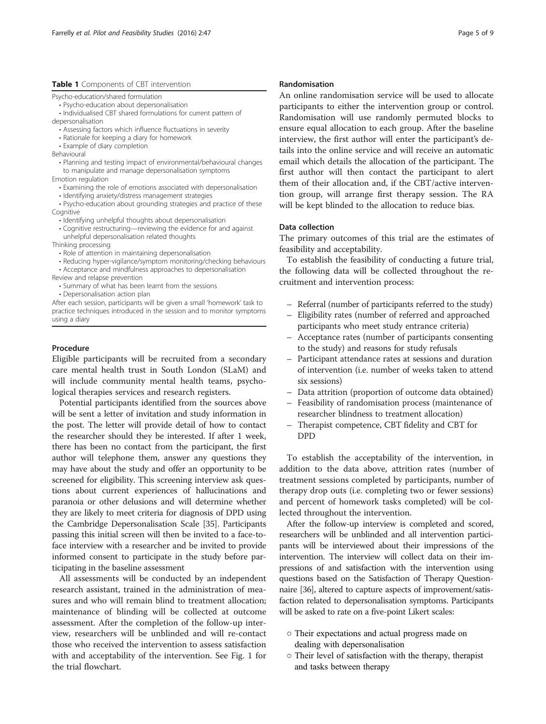# <span id="page-4-0"></span>Table 1 Components of CBT intervention

Psycho-education/shared formulation

- Psycho-education about depersonalisation
- Individualised CBT shared formulations for current pattern of

depersonalisation

- Assessing factors which influence fluctuations in severity
- Rationale for keeping a diary for homework
- Example of diary completion
- Behavioural
- Planning and testing impact of environmental/behavioural changes to manipulate and manage depersonalisation symptoms
- Emotion regulation
	- Examining the role of emotions associated with depersonalisation
	- Identifying anxiety/distress management strategies
- Psycho-education about grounding strategies and practice of these Cognitive
	- $\cdot$  Identifying unhelpful thoughts about depersonalisation
	- Cognitive restructuring—reviewing the evidence for and against unhelpful depersonalisation related thoughts
- Thinking processing
	- Role of attention in maintaining depersonalisation
- Reducing hyper-vigilance/symptom monitoring/checking behaviours • Acceptance and mindfulness approaches to depersonalisation
- Review and relapse prevention
	- Summary of what has been learnt from the sessions
	- Depersonalisation action plan

After each session, participants will be given a small 'homework' task to practice techniques introduced in the session and to monitor symptoms using a diary

# Procedure

Eligible participants will be recruited from a secondary care mental health trust in South London (SLaM) and will include community mental health teams, psychological therapies services and research registers.

Potential participants identified from the sources above will be sent a letter of invitation and study information in the post. The letter will provide detail of how to contact the researcher should they be interested. If after 1 week, there has been no contact from the participant, the first author will telephone them, answer any questions they may have about the study and offer an opportunity to be screened for eligibility. This screening interview ask questions about current experiences of hallucinations and paranoia or other delusions and will determine whether they are likely to meet criteria for diagnosis of DPD using the Cambridge Depersonalisation Scale [\[35](#page-8-0)]. Participants passing this initial screen will then be invited to a face-toface interview with a researcher and be invited to provide informed consent to participate in the study before participating in the baseline assessment

All assessments will be conducted by an independent research assistant, trained in the administration of measures and who will remain blind to treatment allocation; maintenance of blinding will be collected at outcome assessment. After the completion of the follow-up interview, researchers will be unblinded and will re-contact those who received the intervention to assess satisfaction with and acceptability of the intervention. See Fig. [1](#page-5-0) for the trial flowchart.

# Randomisation

An online randomisation service will be used to allocate participants to either the intervention group or control. Randomisation will use randomly permuted blocks to ensure equal allocation to each group. After the baseline interview, the first author will enter the participant's details into the online service and will receive an automatic email which details the allocation of the participant. The first author will then contact the participant to alert them of their allocation and, if the CBT/active intervention group, will arrange first therapy session. The RA will be kept blinded to the allocation to reduce bias.

# Data collection

The primary outcomes of this trial are the estimates of feasibility and acceptability.

To establish the feasibility of conducting a future trial, the following data will be collected throughout the recruitment and intervention process:

- Referral (number of participants referred to the study)
- Eligibility rates (number of referred and approached participants who meet study entrance criteria)
- Acceptance rates (number of participants consenting to the study) and reasons for study refusals
- Participant attendance rates at sessions and duration of intervention (i.e. number of weeks taken to attend six sessions)
- Data attrition (proportion of outcome data obtained)
- Feasibility of randomisation process (maintenance of researcher blindness to treatment allocation)
- Therapist competence, CBT fidelity and CBT for DPD

To establish the acceptability of the intervention, in addition to the data above, attrition rates (number of treatment sessions completed by participants, number of therapy drop outs (i.e. completing two or fewer sessions) and percent of homework tasks completed) will be collected throughout the intervention.

After the follow-up interview is completed and scored, researchers will be unblinded and all intervention participants will be interviewed about their impressions of the intervention. The interview will collect data on their impressions of and satisfaction with the intervention using questions based on the Satisfaction of Therapy Questionnaire [\[36\]](#page-8-0), altered to capture aspects of improvement/satisfaction related to depersonalisation symptoms. Participants will be asked to rate on a five-point Likert scales:

- Their expectations and actual progress made on dealing with depersonalisation
- Their level of satisfaction with the therapy, therapist and tasks between therapy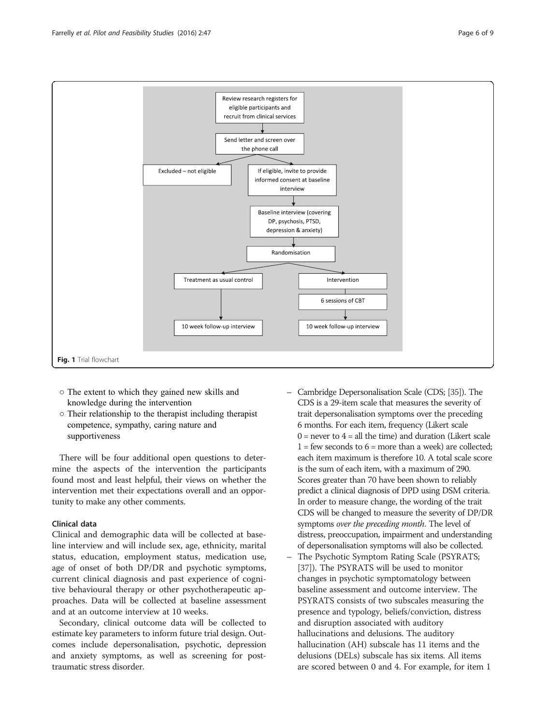<span id="page-5-0"></span>

- The extent to which they gained new skills and knowledge during the intervention
- Their relationship to the therapist including therapist competence, sympathy, caring nature and supportiveness

There will be four additional open questions to determine the aspects of the intervention the participants found most and least helpful, their views on whether the intervention met their expectations overall and an opportunity to make any other comments.

# Clinical data

Clinical and demographic data will be collected at baseline interview and will include sex, age, ethnicity, marital status, education, employment status, medication use, age of onset of both DP/DR and psychotic symptoms, current clinical diagnosis and past experience of cognitive behavioural therapy or other psychotherapeutic approaches. Data will be collected at baseline assessment and at an outcome interview at 10 weeks.

Secondary, clinical outcome data will be collected to estimate key parameters to inform future trial design. Outcomes include depersonalisation, psychotic, depression and anxiety symptoms, as well as screening for posttraumatic stress disorder.

- Cambridge Depersonalisation Scale (CDS; [\[35\]](#page-8-0)). The CDS is a 29-item scale that measures the severity of trait depersonalisation symptoms over the preceding 6 months. For each item, frequency (Likert scale  $0 =$  never to  $4 =$  all the time) and duration (Likert scale  $1 = few seconds to 6 = more than a week) are collected:$ each item maximum is therefore 10. A total scale score is the sum of each item, with a maximum of 290. Scores greater than 70 have been shown to reliably predict a clinical diagnosis of DPD using DSM criteria. In order to measure change, the wording of the trait CDS will be changed to measure the severity of DP/DR symptoms over the preceding month. The level of distress, preoccupation, impairment and understanding of depersonalisation symptoms will also be collected.
- The Psychotic Symptom Rating Scale (PSYRATS; [[37](#page-8-0)]). The PSYRATS will be used to monitor changes in psychotic symptomatology between baseline assessment and outcome interview. The PSYRATS consists of two subscales measuring the presence and typology, beliefs/conviction, distress and disruption associated with auditory hallucinations and delusions. The auditory hallucination (AH) subscale has 11 items and the delusions (DELs) subscale has six items. All items are scored between 0 and 4. For example, for item 1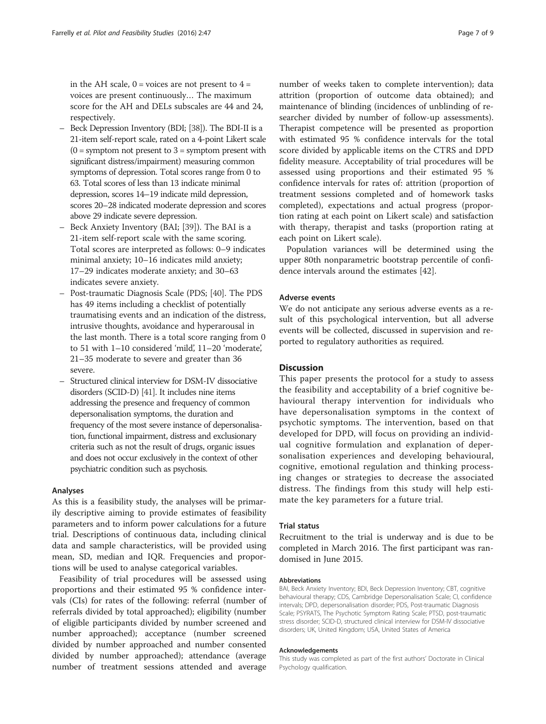in the AH scale,  $0 = \text{voices}$  are not present to  $4 =$ voices are present continuously… The maximum score for the AH and DELs subscales are 44 and 24, respectively.

- Beck Depression Inventory (BDI; [[38](#page-8-0)]). The BDI-II is a 21-item self-report scale, rated on a 4-point Likert scale  $(0 =$  symptom not present to  $3 =$  symptom present with significant distress/impairment) measuring common symptoms of depression. Total scores range from 0 to 63. Total scores of less than 13 indicate minimal depression, scores 14–19 indicate mild depression, scores 20–28 indicated moderate depression and scores above 29 indicate severe depression.
- Beck Anxiety Inventory (BAI; [[39\]](#page-8-0)). The BAI is a 21-item self-report scale with the same scoring. Total scores are interpreted as follows: 0–9 indicates minimal anxiety; 10–16 indicates mild anxiety; 17–29 indicates moderate anxiety; and 30–63 indicates severe anxiety.
- Post-traumatic Diagnosis Scale (PDS; [\[40\]](#page-8-0). The PDS has 49 items including a checklist of potentially traumatising events and an indication of the distress, intrusive thoughts, avoidance and hyperarousal in the last month. There is a total score ranging from 0 to 51 with 1–10 considered 'mild', 11–20 'moderate', 21–35 moderate to severe and greater than 36 severe.
- Structured clinical interview for DSM-IV dissociative disorders (SCID-D) [\[41](#page-8-0)]. It includes nine items addressing the presence and frequency of common depersonalisation symptoms, the duration and frequency of the most severe instance of depersonalisation, functional impairment, distress and exclusionary criteria such as not the result of drugs, organic issues and does not occur exclusively in the context of other psychiatric condition such as psychosis.

# Analyses

As this is a feasibility study, the analyses will be primarily descriptive aiming to provide estimates of feasibility parameters and to inform power calculations for a future trial. Descriptions of continuous data, including clinical data and sample characteristics, will be provided using mean, SD, median and IQR. Frequencies and proportions will be used to analyse categorical variables.

Feasibility of trial procedures will be assessed using proportions and their estimated 95 % confidence intervals (CIs) for rates of the following: referral (number of referrals divided by total approached); eligibility (number of eligible participants divided by number screened and number approached); acceptance (number screened divided by number approached and number consented divided by number approached); attendance (average number of treatment sessions attended and average

number of weeks taken to complete intervention); data attrition (proportion of outcome data obtained); and maintenance of blinding (incidences of unblinding of researcher divided by number of follow-up assessments). Therapist competence will be presented as proportion with estimated 95 % confidence intervals for the total score divided by applicable items on the CTRS and DPD fidelity measure. Acceptability of trial procedures will be assessed using proportions and their estimated 95 % confidence intervals for rates of: attrition (proportion of treatment sessions completed and of homework tasks completed), expectations and actual progress (proportion rating at each point on Likert scale) and satisfaction with therapy, therapist and tasks (proportion rating at each point on Likert scale).

Population variances will be determined using the upper 80th nonparametric bootstrap percentile of confidence intervals around the estimates [\[42\]](#page-8-0).

# Adverse events

We do not anticipate any serious adverse events as a result of this psychological intervention, but all adverse events will be collected, discussed in supervision and reported to regulatory authorities as required.

# **Discussion**

This paper presents the protocol for a study to assess the feasibility and acceptability of a brief cognitive behavioural therapy intervention for individuals who have depersonalisation symptoms in the context of psychotic symptoms. The intervention, based on that developed for DPD, will focus on providing an individual cognitive formulation and explanation of depersonalisation experiences and developing behavioural, cognitive, emotional regulation and thinking processing changes or strategies to decrease the associated distress. The findings from this study will help estimate the key parameters for a future trial.

#### Trial status

Recruitment to the trial is underway and is due to be completed in March 2016. The first participant was randomised in June 2015.

#### Abbreviations

BAI, Beck Anxiety Inventory; BDI, Beck Depression Inventory; CBT, cognitive behavioural therapy; CDS, Cambridge Depersonalisation Scale; CI, confidence intervals; DPD, depersonalisation disorder; PDS, Post-traumatic Diagnosis Scale; PSYRATS, The Psychotic Symptom Rating Scale; PTSD, post-traumatic stress disorder; SCID-D, structured clinical interview for DSM-IV dissociative disorders; UK, United Kingdom; USA, United States of America

#### Acknowledgements

This study was completed as part of the first authors' Doctorate in Clinical Psychology qualification.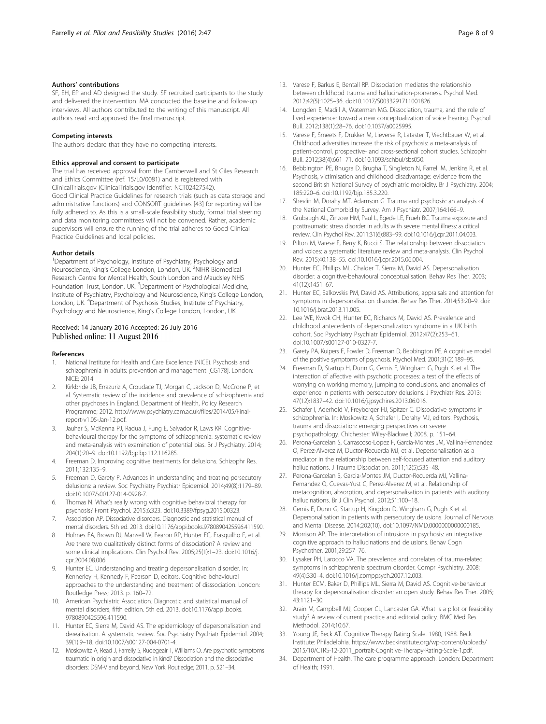# <span id="page-7-0"></span>Authors' contributions

SF, EH, EP and AD designed the study. SF recruited participants to the study and delivered the intervention. MA conducted the baseline and follow-up interviews. All authors contributed to the writing of this manuscript. All authors read and approved the final manuscript.

#### Competing interests

The authors declare that they have no competing interests.

#### Ethics approval and consent to participate

The trial has received approval from the Camberwell and St Giles Research and Ethics Committee (ref: 15/L0/0081) and is registered with ClinicalTrials.gov (ClinicalTrials.gov Identifier: NCT02427542). Good Clinical Practice Guidelines for research trials (such as data storage and administrative functions) and CONSORT guidelines [\[43](#page-8-0)] for reporting will be fully adhered to. As this is a small-scale feasibility study, formal trial steering and data monitoring committees will not be convened. Rather, academic supervisors will ensure the running of the trial adheres to Good Clinical Practice Guidelines and local policies.

# Author details

<sup>1</sup>Department of Psychology, Institute of Psychiatry, Psychology and Neuroscience, King's College London, London, UK. <sup>2</sup>NIHR Biomedical Research Centre for Mental Health, South London and Maudsley NHS Foundation Trust, London, UK. <sup>3</sup>Department of Psychological Medicine, Institute of Psychiatry, Psychology and Neuroscience, King's College London, London, UK. <sup>4</sup>Department of Psychosis Studies, Institute of Psychiatry, Psychology and Neuroscience, King's College London, London, UK.

# Received: 14 January 2016 Accepted: 26 July 2016<br>Published online: 11 August 2016

#### References

- 1. National Institute for Health and Care Excellence (NICE). Psychosis and schizophrenia in adults: prevention and management [CG178]. London: NICE; 2014.
- 2. Kirkbride JB, Errazuriz A, Croudace TJ, Morgan C, Jackson D, McCrone P, et al. Systematic review of the incidence and prevalence of schizophrenia and other psychoses in England. Department of Health, Policy Research Programme; 2012. [http://www.psychiatry.cam.ac.uk/files/2014/05/Final](http://www.psychiatry.cam.ac.uk/files/2014/05/Final-report-v1.05-Jan-12.pdf)[report-v1.05-Jan-12.pdf.](http://www.psychiatry.cam.ac.uk/files/2014/05/Final-report-v1.05-Jan-12.pdf)
- 3. Jauhar S, McKenna PJ, Radua J, Fung E, Salvador R, Laws KR. Cognitivebehavioural therapy for the symptoms of schizophrenia: systematic review and meta-analysis with examination of potential bias. Br J Psychiatry. 2014; 204(1):20–9. doi:[10.1192/bjp.bp.112.116285.](http://dx.doi.org/10.1192/bjp.bp.112.116285)
- 4. Freeman D. Improving cognitive treatments for delusions. Schizophr Res. 2011;132:135–9.
- 5. Freeman D, Garety P. Advances in understanding and treating persecutory delusions: a review. Soc Psychiatry Psychiatr Epidemiol. 2014;49(8):1179–89. doi[:10.1007/s00127-014-0928-7](http://dx.doi.org/10.1007/s00127-014-0928-7).
- 6. Thomas N. What's really wrong with cognitive behavioral therapy for psychosis? Front Psychol. 2015;6:323. doi:[10.3389/fpsyg.2015.00323](http://dx.doi.org/10.3389/fpsyg.2015.00323).
- 7. Association AP. Dissociative disorders. Diagnostic and statistical manual of mental disorders. 5th ed. 2013. doi[:10.1176/appi.books.9780890425596.411590.](http://dx.doi.org/10.1176/appi.books.9780890425596.411590)
- 8. Holmes EA, Brown RJ, Mansell W, Fearon RP, Hunter EC, Frasquilho F, et al. Are there two qualitatively distinct forms of dissociation? A review and some clinical implications. Clin Psychol Rev. 2005;25(1):1–23. doi:[10.1016/j.](http://dx.doi.org/10.1016/j.cpr.2004.08.006) [cpr.2004.08.006](http://dx.doi.org/10.1016/j.cpr.2004.08.006).
- Hunter EC. Understanding and treating depersonalisation disorder. In: Kennerley H, Kennedy F, Pearson D, editors. Cognitive behavioural approaches to the understanding and treatment of disssociation. London: Routledge Press; 2013. p. 160–72.
- 10. American Psychiatric Association. Diagnostic and statistical manual of mental disorders, fifth edition. 5th ed. 2013. doi:[10.1176/appi.books.](http://dx.doi.org/10.1176/appi.books.9780890425596.411590) [9780890425596.411590.](http://dx.doi.org/10.1176/appi.books.9780890425596.411590)
- 11. Hunter EC, Sierra M, David AS. The epidemiology of depersonalisation and derealisation. A systematic review. Soc Psychiatry Psychiatr Epidemiol. 2004; 39(1):9–18. doi[:10.1007/s00127-004-0701-4.](http://dx.doi.org/10.1007/s00127-004-0701-4)
- 12. Moskowitz A, Read J, Farrelly S, Rudegeair T, Williams O. Are psychotic symptoms traumatic in origin and dissociative in kind? Dissociation and the dissociative disorders: DSM-V and beyond. New York: Routledge; 2011. p. 521–34.
- 13. Varese F, Barkus E, Bentall RP. Dissociation mediates the relationship between childhood trauma and hallucination-proneness. Psychol Med. 2012;42(5):1025–36. doi[:10.1017/S0033291711001826](http://dx.doi.org/10.1017/S0033291711001826).
- 14. Longden E, Madill A, Waterman MG. Dissociation, trauma, and the role of lived experience: toward a new conceptualization of voice hearing. Psychol Bull. 2012;138(1):28–76. doi:[10.1037/a0025995.](http://dx.doi.org/10.1037/a0025995)
- 15. Varese F, Smeets F, Drukker M, Lieverse R, Lataster T, Viechtbauer W, et al. Childhood adversities increase the risk of psychosis: a meta-analysis of patient-control, prospective- and cross-sectional cohort studies. Schizophr Bull. 2012;38(4):661–71. doi:[10.1093/schbul/sbs050.](http://dx.doi.org/10.1093/schbul/sbs050)
- 16. Bebbington PE, Bhugra D, Brugha T, Singleton N, Farrell M, Jenkins R, et al. Psychosis, victimisation and childhood disadvantage: evidence from the second British National Survey of psychiatric morbidity. Br J Psychiatry. 2004; 185:220–6. doi:[10.1192/bjp.185.3.220.](http://dx.doi.org/10.1192/bjp.185.3.220)
- 17. Shevlin M, Dorahy MT, Adamson G. Trauma and psychosis: an analysis of the National Comorbidity Survey. Am J Psychiatr. 2007;164:166–9.
- 18. Grubaugh AL, Zinzow HM, Paul L, Egede LE, Frueh BC. Trauma exposure and posttraumatic stress disorder in adults with severe mental illness: a critical review. Clin Psychol Rev. 2011;31(6):883–99. doi:[10.1016/j.cpr.2011.04.003.](http://dx.doi.org/10.1016/j.cpr.2011.04.003)
- 19. Pilton M, Varese F, Berry K, Bucci S. The relationship between dissociation and voices: a systematic literature review and meta-analysis. Clin Psychol Rev. 2015;40:138–55. doi[:10.1016/j.cpr.2015.06.004](http://dx.doi.org/10.1016/j.cpr.2015.06.004).
- 20. Hunter EC, Phillips ML, Chalder T, Sierra M, David AS. Depersonalisation disorder: a cognitive-behavioural conceptualisation. Behav Res Ther. 2003; 41(12):1451–67.
- 21. Hunter EC, Salkovskis PM, David AS. Attributions, appraisals and attention for symptoms in depersonalisation disorder. Behav Res Ther. 2014;53:20–9. doi: [10.1016/j.brat.2013.11.005](http://dx.doi.org/10.1016/j.brat.2013.11.005).
- 22. Lee WE, Kwok CH, Hunter EC, Richards M, David AS. Prevalence and childhood antecedents of depersonalization syndrome in a UK birth cohort. Soc Psychiatry Psychiatr Epidemiol. 2012;47(2):253–61. doi[:10.1007/s00127-010-0327-7](http://dx.doi.org/10.1007/s00127-010-0327-7).
- 23. Garety PA, Kuipers E, Fowler D, Freeman D, Bebbington PE. A cognitive model of the positive symptoms of psychosis. Psychol Med. 2001;31(2):189–95.
- 24. Freeman D, Startup H, Dunn G, Cernis E, Wingham G, Pugh K, et al. The interaction of affective with psychotic processes: a test of the effects of worrying on working memory, jumping to conclusions, and anomalies of experience in patients with persecutory delusions. J Psychiatr Res. 2013; 47(12):1837–42. doi:[10.1016/j.jpsychires.2013.06.016.](http://dx.doi.org/10.1016/j.jpsychires.2013.06.016)
- 25. Schafer I, Aderhold V, Freyberger HJ, Spitzer C. Dissociative symptoms in schizophrenia. In: Moskowitz A, Schafer I, Dorahy MJ, editors. Psychosis, trauma and dissociation: emerging perspectives on severe psychopathology. Chichester: Wiley-Blackwell; 2008. p. 151–64.
- 26. Perona-Garcelan S, Carrascoso-Lopez F, Garcia-Montes JM, Vallina-Fernandez O, Perez-Alverez M, Ductor-Recuerda MJ, et al. Depersonalisation as a mediator in the relationship between self-focused attention and auditory hallucinations. J Trauma Dissociation. 2011;12(5):535–48.
- 27. Perona-Garcelan S, Garcia-Montes JM, Ductor-Recuerda MJ, Vallina-Fernandez O, Cuevas-Yust C, Perez-Alverez M, et al. Relationship of metacognition, absorption, and depersonalisation in patients with auditory hallucinations. Br J Clin Psychol. 2012;51:100–18.
- 28. Cernis E, Dunn G, Startup H, Kingdon D, Wingham G, Pugh K et al. Depersonalisation in patients with persecutory delusions. Journal of Nervous and Mental Disease. 2014;202(10). doi[:10.1097/NMD.0000000000000185.](http://dx.doi.org/10.1097/NMD.0000000000000185)
- 29. Morrison AP. The interpretation of intrusions in psychosis: an integrative cognitive approach to hallucinations and delusions. Behav Cogn Psychother. 2001;29:257–76.
- 30. Lysaker PH, Larocco VA. The prevalence and correlates of trauma-related symptoms in schizophrenia spectrum disorder. Compr Psychiatry. 2008; 49(4):330–4. doi:[10.1016/j.comppsych.2007.12.003.](http://dx.doi.org/10.1016/j.comppsych.2007.12.003)
- 31. Hunter ECM, Baker D, Phillips ML, Sierra M, David AS. Cognitive-behaviour therapy for depersonalisation disorder: an open study. Behav Res Ther. 2005; 43:1121–30.
- 32. Arain M, Campbell MJ, Cooper CL, Lancaster GA. What is a pilot or feasibility study? A review of current practice and editorial policy. BMC Med Res Methodol. 2014;10:67.
- 33. Young JE, Beck AT. Cognitive Therapy Rating Scale. 1980, 1988. Beck Institute: Philadelphia. [https://www.beckinstitute.org/wp-content/uploads/](https://www.beckinstitute.org/wp-content/uploads/2015/10/CTRS-12-2011_portrait-Cognitive-Therapy-Rating-Scale-1.pdf) [2015/10/CTRS-12-2011\\_portrait-Cognitive-Therapy-Rating-Scale-1.pdf](https://www.beckinstitute.org/wp-content/uploads/2015/10/CTRS-12-2011_portrait-Cognitive-Therapy-Rating-Scale-1.pdf).
- 34. Department of Health. The care programme approach. London: Department of Health; 1991.